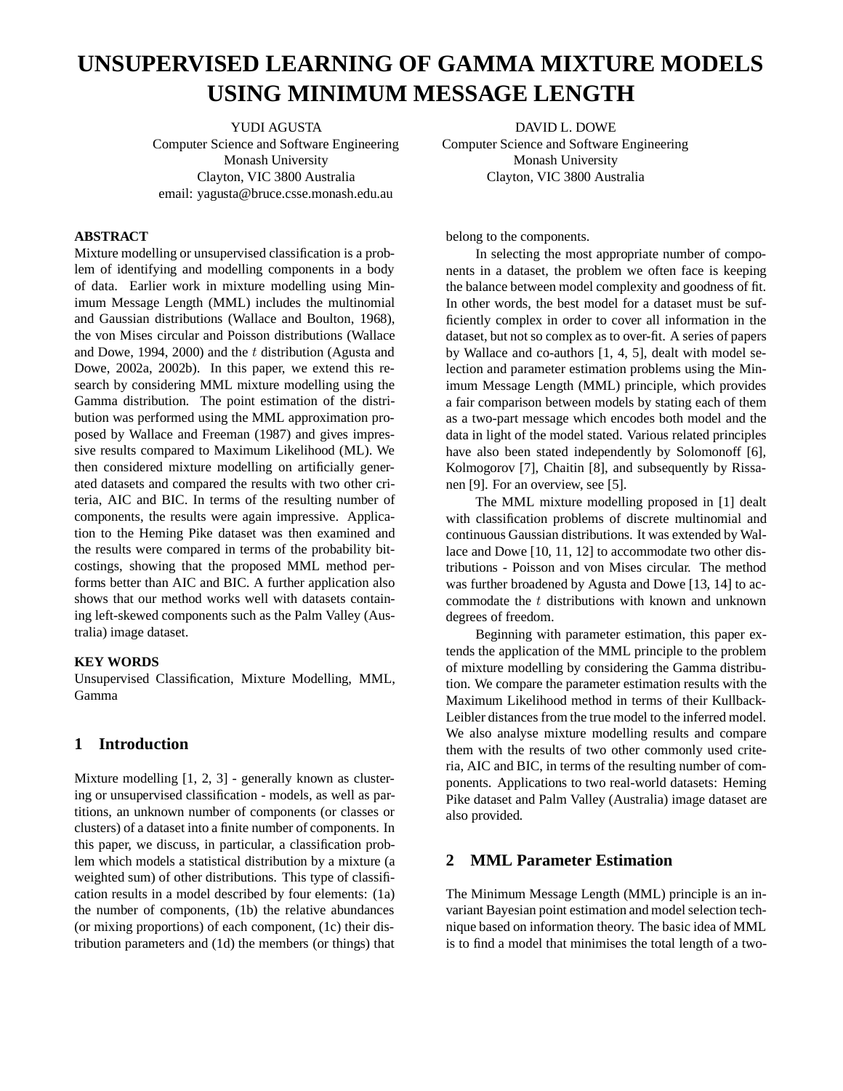# **UNSUPERVISED LEARNING OF GAMMA MIXTURE MODELS USING MINIMUM MESSAGE LENGTH**

YUDI AGUSTA Computer Science and Software Engineering Monash University Clayton, VIC 3800 Australia email: yagusta@bruce.csse.monash.edu.au

#### **ABSTRACT**

Mixture modelling or unsupervised classification is a problem of identifying and modelling components in a body of data. Earlier work in mixture modelling using Minimum Message Length (MML) includes the multinomial and Gaussian distributions (Wallace and Boulton, 1968), the von Mises circular and Poisson distributions (Wallace and Dowe, 1994, 2000) and the  $t$  distribution (Agusta and Dowe, 2002a, 2002b). In this paper, we extend this research by considering MML mixture modelling using the Gamma distribution. The point estimation of the distribution was performed using the MML approximation proposed by Wallace and Freeman (1987) and gives impressive results compared to Maximum Likelihood (ML). We then considered mixture modelling on artificially generated datasets and compared the results with two other criteria, AIC and BIC. In terms of the resulting number of components, the results were again impressive. Application to the Heming Pike dataset was then examined and the results were compared in terms of the probability bitcostings, showing that the proposed MML method performs better than AIC and BIC. A further application also shows that our method works well with datasets containing left-skewed components such as the Palm Valley (Australia) image dataset.

#### **KEY WORDS**

Unsupervised Classification, Mixture Modelling, MML, Gamma

## **1 Introduction**

Mixture modelling [1, 2, 3] - generally known as clustering or unsupervised classification - models, as well as partitions, an unknown number of components (or classes or clusters) of a dataset into a finite number of components. In this paper, we discuss, in particular, a classification problem which models a statistical distribution by a mixture (a weighted sum) of other distributions. This type of classification results in a model described by four elements: (1a) the number of components, (1b) the relative abundances (or mixing proportions) of each component, (1c) their distribution parameters and (1d) the members (or things) that

DAVID L. DOWE Computer Science and Software Engineering Monash University Clayton, VIC 3800 Australia

belong to the components.

In selecting the most appropriate number of components in a dataset, the problem we often face is keeping the balance between model complexity and goodness of fit. In other words, the best model for a dataset must be sufficiently complex in order to cover all information in the dataset, but not so complex as to over-fit. A series of papers by Wallace and co-authors [1, 4, 5], dealt with model selection and parameter estimation problems using the Minimum Message Length (MML) principle, which provides a fair comparison between models by stating each of them as a two-part message which encodes both model and the data in light of the model stated. Various related principles have also been stated independently by Solomonoff [6], Kolmogorov [7], Chaitin [8], and subsequently by Rissanen [9]. For an overview, see [5].

The MML mixture modelling proposed in [1] dealt with classification problems of discrete multinomial and continuous Gaussian distributions. It was extended by Wallace and Dowe [10, 11, 12] to accommodate two other distributions - Poisson and von Mises circular. The method was further broadened by Agusta and Dowe [13, 14] to accommodate the  $t$  distributions with known and unknown degrees of freedom.

Beginning with parameter estimation, this paper extends the application of the MML principle to the problem of mixture modelling by considering the Gamma distribution. We compare the parameter estimation results with the Maximum Likelihood method in terms of their Kullback-Leibler distances from the true model to the inferred model. We also analyse mixture modelling results and compare them with the results of two other commonly used criteria, AIC and BIC, in terms of the resulting number of components. Applications to two real-world datasets: Heming Pike dataset and Palm Valley (Australia) image dataset are also provided.

## **2 MML Parameter Estimation**

The Minimum Message Length (MML) principle is an invariant Bayesian point estimation and model selection technique based on information theory. The basic idea of MML is to find a model that minimises the total length of a two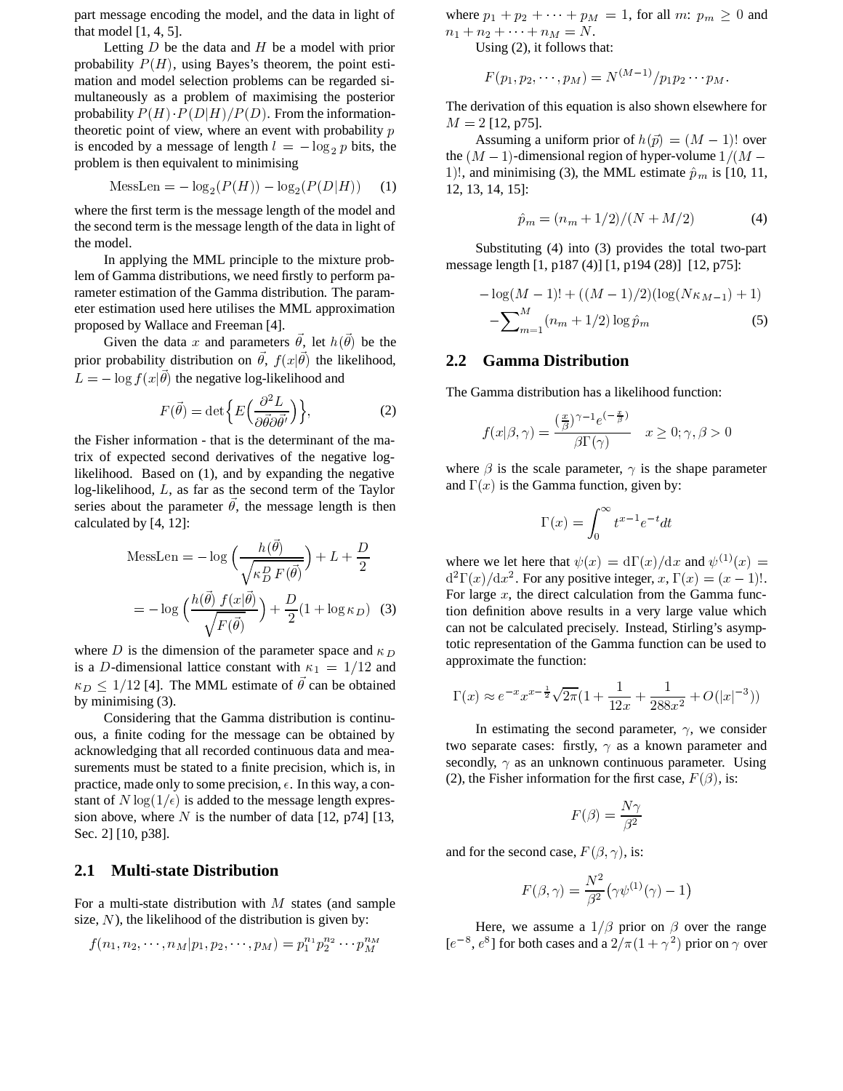part message encoding the model, and the data in light of that model [1, 4, 5].

Letting  $D$  be the data and  $H$  be a model with prior probability  $P(H)$ , using Bayes's theorem, the point estimation and model selection problems can be regarded simultaneously as a problem of maximising the posterior probability  $P(H) \cdot P(D|H)/P(D)$ . From the informationtheoretic point of view, where an event with probability  $p$ is encoded by a message of length  $l = -\log_2 p$  bits, the problem is then equivalent to minimising

$$
Message = -\log_2(P(H)) - \log_2(P(D|H)) \quad (1)
$$

where the first term is the message length of the model and the second term is the message length of the data in light of the model.

In applying the MML principle to the mixture problem of Gamma distributions, we need firstly to perform parameter estimation of the Gamma distribution. The parameter estimation used here utilises the MML approximation proposed by Wallace and Freeman [4].

Given the data x and parameters  $\theta$ , let  $h(\theta)$  be the prior probability distribution on  $\theta$ ,  $f(x|\theta)$  the likelihood,  $L = -\log f(x|\theta)$  the negative log-likelihood and

$$
F(\vec{\theta}) = \det \left\{ E \left( \frac{\partial^2 L}{\partial \vec{\theta} \partial \vec{\theta}'} \right) \right\},\tag{2}
$$

the Fisher information - that is the determinant of the matrix of expected second derivatives of the negative loglikelihood. Based on (1), and by expanding the negative log-likelihood, L, as far as the second term of the Taylor series about the parameter  $\theta$ , the message length is then calculated by [4, 12]:

$$
\text{Message} = -\log\left(\frac{h(\vec{\theta})}{\sqrt{\kappa_D^D F(\vec{\theta})}}\right) + L + \frac{D}{2}
$$
\n
$$
= -\log\left(\frac{h(\vec{\theta}) f(x|\vec{\theta})}{\sqrt{F(\vec{\theta})}}\right) + \frac{D}{2} (1 + \log \kappa_D) \quad (3)
$$

where D is the dimension of the parameter space and  $\kappa_D$ is a D-dimensional lattice constant with  $\kappa_1 = 1/12$  and  $\kappa_D \leq 1/12$  [4]. The MML estimate of  $\vec{\theta}$  can be obtained by minimising (3).

Considering that the Gamma distribution is continuous, a finite coding for the message can be obtained by acknowledging that all recorded continuous data and measurements must be stated to a finite precision, which is, in practice, made only to some precision,  $\epsilon$ . In this way, a constant of  $N\log(1/\epsilon)$  is added to the message length expression above, where  $N$  is the number of data [12, p74] [13, Sec. 2] [10, p38].

## **2.1 Multi-state Distribution**

For a multi-state distribution with  $M$  states (and sample size,  $N$ ), the likelihood of the distribution is given by:

$$
f(n_1, n_2, \cdots, n_M | p_1, p_2, \cdots, p_M) = p_1^{n_1} p_2^{n_2} \cdots p_M^{n_M}
$$

where  $p_1 + p_2 + \cdots + p_M = 1$ , for all  $m: p_m \ge 0$  and  $n_1 + n_2 + \cdots + n_M = N.$ 

Using (2), it follows that:

$$
F(p_1, p_2, \cdots, p_M) = N^{(M-1)}/p_1 p_2 \cdots p_M.
$$

The derivation of this equation is also shown elsewhere for  $M = 2$  [12, p75].

Assuming a uniform prior of  $h(\vec{p}) = (M - 1)!$  over the  $(M - 1)$ -dimensional region of hyper-volume  $1/(M -$ 1)!, and minimising (3), the MML estimate  $\hat{p}_m$  is [10, 11, 12, 13, 14, 15]:

$$
\hat{p}_m = (n_m + 1/2)/(N + M/2)
$$
 (4)

Substituting (4) into (3) provides the total two-part message length [1, p187 (4)] [1, p194 (28)] [12, p75]:

$$
-\log(M-1)! + ((M-1)/2)(\log(N\kappa_{M-1}) + 1)
$$

$$
-\sum_{m=1}^{M} (n_m + 1/2) \log \hat{p}_m
$$
(5)

#### **2.2 Gamma Distribution**

The Gamma distribution has a likelihood function:

$$
f(x|\beta,\gamma) = \frac{\left(\frac{x}{\beta}\right)^{\gamma-1} e^{-\frac{x}{\beta}}}{\beta \Gamma(\gamma)} \quad x \ge 0; \gamma, \beta > 0
$$

where  $\beta$  is the scale parameter,  $\gamma$  is the shape parameter and  $\Gamma(x)$  is the Gamma function, given by:

$$
\Gamma(x) = \int_0^\infty t^{x-1} e^{-t} dt
$$

where we let here that  $\psi(x) = d\Gamma(x)/dx$  and  $\psi^{(1)}(x) =$  $d^2\Gamma(x)/dx^2$ . For any positive integer,  $x, \Gamma(x) = (x - 1)!$ . For large  $x$ , the direct calculation from the Gamma function definition above results in a very large value which can not be calculated precisely. Instead, Stirling's asymptotic representation of the Gamma function can be used to approximate the function:

$$
\Gamma(x) \approx e^{-x} x^{x - \frac{1}{2}} \sqrt{2\pi} (1 + \frac{1}{12x} + \frac{1}{288x^2} + O(|x|^{-3}))
$$

In estimating the second parameter,  $\gamma$ , we consider two separate cases: firstly,  $\gamma$  as a known parameter and secondly,  $\gamma$  as an unknown continuous parameter. Using (2), the Fisher information for the first case,  $F(\beta)$ , is:

$$
F(\beta) = \frac{N\gamma}{\beta^2}
$$

and for the second case,  $F(\beta, \gamma)$ , is:

$$
F(\beta,\gamma)=\frac{N^2}{\beta^2}\big(\gamma\psi^{(1)}(\gamma)-1\big)
$$

 $(p_M) = p_1^{n_1} p_2^{n_2} \cdots p_M^{n_M}$  [ $e^{-8}, e^{8}$ ] for both cases and a  $2/\pi(1+\gamma^2)$  prior on  $\gamma$  over Here, we assume a  $1/\beta$  prior on  $\beta$  over the range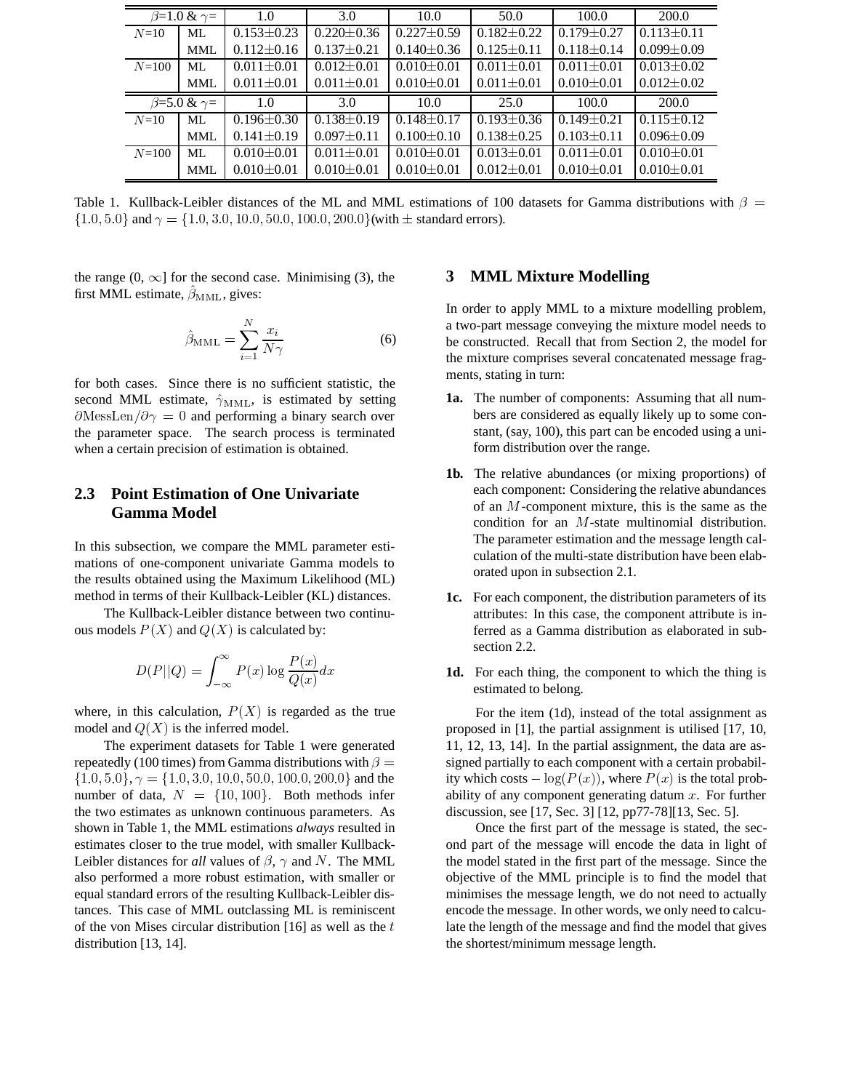| $\beta$ =1.0 & $\gamma$ =         |            | 1.0              | 3.0              | 10.0             | 50.0             | 100.0            | 200.0            |
|-----------------------------------|------------|------------------|------------------|------------------|------------------|------------------|------------------|
| $N=10$                            | ML         | $0.153 \pm 0.23$ | $0.220 \pm 0.36$ | $0.227 \pm 0.59$ | $0.182 + 0.22$   | $0.179 \pm 0.27$ | $0.113 + 0.11$   |
|                                   | <b>MML</b> | $0.112 \pm 0.16$ | $0.137 \pm 0.21$ | $0.140 \pm 0.36$ | $0.125 \pm 0.11$ | $0.118 \pm 0.14$ | $0.099 \pm 0.09$ |
| $N = 100$                         | ML         | $0.011 \pm 0.01$ | $0.012 \pm 0.01$ | $0.010 \pm 0.01$ | $0.011 \pm 0.01$ | $0.011 \pm 0.01$ | $0.013 + 0.02$   |
|                                   | <b>MML</b> | $0.011 \pm 0.01$ | $0.011 \pm 0.01$ | $0.010 \pm 0.01$ | $0.011 \pm 0.01$ | $0.010 \pm 0.01$ | $0.012 \pm 0.02$ |
| $\sqrt{\beta} = 5.0$ & $\gamma =$ |            | 1.0              | 3.0              | 10.0             | 25.0             | 100.0            | 200.0            |
| $N=10$                            | ML         | $0.196 \pm 0.30$ | $0.138 + 0.19$   | $0.148 + 0.17$   | $0.193 + 0.36$   | $0.149 \pm 0.21$ | $0.115 \pm 0.12$ |
|                                   | <b>MML</b> | $0.141 \pm 0.19$ | $0.097 \pm 0.11$ | $0.100 \pm 0.10$ | $0.138 \pm 0.25$ | $0.103 \pm 0.11$ | $0.096 \pm 0.09$ |
| $N = 100$                         | ML         | $0.010 \pm 0.01$ | $0.011 + 0.01$   | $0.010 \pm 0.01$ | $0.013 + 0.01$   | $0.011 \pm 0.01$ | $0.010 + 0.01$   |
|                                   | <b>MML</b> | $0.010 \pm 0.01$ | $0.010 \pm 0.01$ | $0.010 + 0.01$   | $0.012 \pm 0.01$ | $0.010 \pm 0.01$ | $0.010 \pm 0.01$ |

Table 1. Kullback-Leibler distances of the ML and MML estimations of 100 datasets for Gamma distributions with  $\beta =$  $\{1.0, 5.0\}$  and  $\gamma = \{1.0, 3.0, 10.0, 50.0, 100.0, 200.0\}$  (with  $\pm$  standard errors).

the range  $(0, \infty]$  for the second case. Minimising (3), the first MML estimate,  $\beta_{\text{MML}}$ , gives:

$$
\hat{\beta}_{\text{MML}} = \sum_{i=1}^{N} \frac{x_i}{N\gamma} \tag{6}
$$

for both cases. Since there is no sufficient statistic, the second MML estimate,  $\hat{\gamma}_{\text{MML}}$ , is estimated by setting  $\partial$ MessLen/ $\partial \gamma = 0$  and performing a binary search over the parameter space. The search process is terminated when a certain precision of estimation is obtained.

# **2.3 Point Estimation of One Univariate Gamma Model**

In this subsection, we compare the MML parameter estimations of one-component univariate Gamma models to the results obtained using the Maximum Likelihood (ML) method in terms of their Kullback-Leibler (KL) distances.

The Kullback-Leibler distance between two continuous models  $P(X)$  and  $Q(X)$  is calculated by:

$$
D(P||Q) = \int_{-\infty}^{\infty} P(x) \log \frac{P(x)}{Q(x)} dx
$$

where, in this calculation,  $P(X)$  is regarded as the true model and  $Q(X)$  is the inferred model.

The experiment datasets for Table 1 were generated repeatedly (100 times) from Gamma distributions with  $\beta =$  $\{1.0, 5.0\}, \gamma = \{1.0, 3.0, 10.0, 50.0, 100.0, 200.0\}$  and the number of data,  $N = \{10, 100\}$ . Both methods infer the two estimates as unknown continuous parameters. As shown in Table 1, the MML estimations *always* resulted in estimates closer to the true model, with smaller Kullback-Leibler distances for *all* values of  $\beta$ ,  $\gamma$  and N. The MML also performed a more robust estimation, with smaller or equal standard errors of the resulting Kullback-Leibler distances. This case of MML outclassing ML is reminiscent of the von Mises circular distribution [16] as well as the  $t$ distribution [13, 14].

#### **3 MML Mixture Modelling**

In order to apply MML to a mixture modelling problem, a two-part message conveying the mixture model needs to be constructed. Recall that from Section 2, the model for the mixture comprises several concatenated message fragments, stating in turn:

- **1a.** The number of components: Assuming that all numbers are considered as equally likely up to some constant, (say, 100), this part can be encoded using a uniform distribution over the range.
- **1b.** The relative abundances (or mixing proportions) of each component: Considering the relative abundances of an  $M$ -component mixture, this is the same as the condition for an  $M$ -state multinomial distribution. The parameter estimation and the message length calculation of the multi-state distribution have been elaborated upon in subsection 2.1.
- **1c.** For each component, the distribution parameters of its attributes: In this case, the component attribute is inferred as a Gamma distribution as elaborated in subsection 2.2.
- **1d.** For each thing, the component to which the thing is estimated to belong.

For the item (1d), instead of the total assignment as proposed in [1], the partial assignment is utilised [17, 10, 11, 12, 13, 14]. In the partial assignment, the data are assigned partially to each component with a certain probability which costs  $-\log(P(x))$ , where  $P(x)$  is the total probability of any component generating datum  $x$ . For further discussion, see [17, Sec. 3] [12, pp77-78][13, Sec. 5].

Once the first part of the message is stated, the second part of the message will encode the data in light of the model stated in the first part of the message. Since the objective of the MML principle is to find the model that minimises the message length, we do not need to actually encode the message. In other words, we only need to calculate the length of the message and find the model that gives the shortest/minimum message length.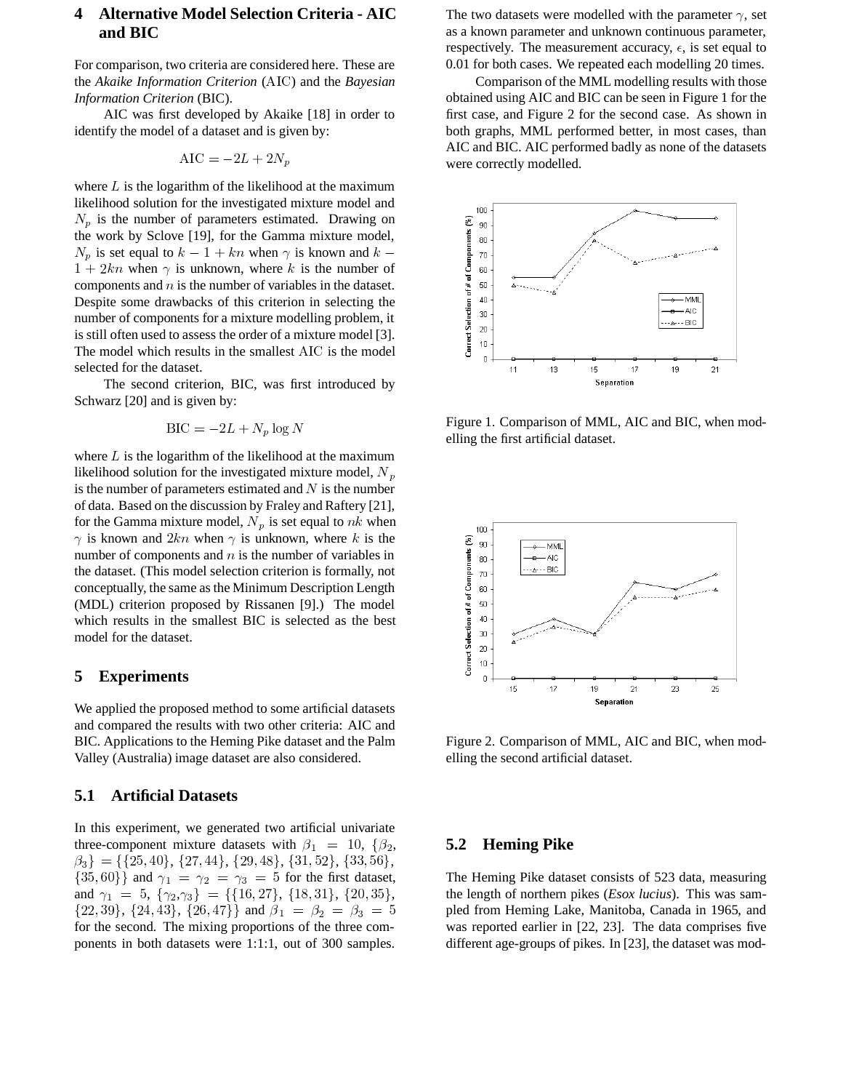## **4 Alternative Model Selection Criteria - AIC and BIC**

For comparison, two criteria are considered here. These are the *Akaike Information Criterion* (AIC) and the *Bayesian Information Criterion* (BIC).

AIC was first developed by Akaike [18] in order to identify the model of a dataset and is given by:

$$
AIC = -2L + 2N_p
$$

where  $L$  is the logarithm of the likelihood at the maximum likelihood solution for the investigated mixture model and  $N_p$  is the number of parameters estimated. Drawing on the work by Sclove [19], for the Gamma mixture model,  $N_p$  is set equal to  $k-1+kn$  when  $\gamma$  is known and  $k-\frac{1}{2}$  $1 + 2kn$  when  $\gamma$  is unknown, where k is the number of components and  $n$  is the number of variables in the dataset. Despite some drawbacks of this criterion in selecting the number of components for a mixture modelling problem, it is still often used to assess the order of a mixture model [3]. The model which results in the smallest AIC is the model selected for the dataset.

The second criterion, BIC, was first introduced by Schwarz [20] and is given by:

$$
BIC = -2L + N_p \log N
$$

where  $L$  is the logarithm of the likelihood at the maximum likelihood solution for the investigated mixture model,  $N_p$ is the number of parameters estimated and  $N$  is the number of data. Based on the discussion by Fraley and Raftery [21], for the Gamma mixture model,  $N_p$  is set equal to  $nk$  when  $\gamma$  is known and  $2kn$  when  $\gamma$  is unknown, where k is the number of components and  $n$  is the number of variables in the dataset. (This model selection criterion is formally, not conceptually, the same asthe Minimum Description Length (MDL) criterion proposed by Rissanen [9].) The model which results in the smallest BIC is selected as the best model for the dataset.

#### **5 Experiments**

We applied the proposed method to some artificial datasets and compared the results with two other criteria: AIC and BIC. Applications to the Heming Pike dataset and the Palm Valley (Australia) image dataset are also considered.

#### **5.1 Artificial Datasets**

In this experiment, we generated two artificial univariate three-component mixture datasets with  $\beta_1 = 10, \{\beta_2, \ldots, \beta_n\}$  $\{\beta_3\} = \{\{25, 40\}, \{27, 44\}, \{29, 48\}, \{31, 52\}, \{33, 56\},\}$  $\{35,60\}$  and  $\gamma_1 = \gamma_2 = \gamma_3 = 5$  for the first dataset, and  $\gamma_1 = 5$ ,  $\{\gamma_2, \gamma_3\} = \{\{16, 27\}, \{18, 31\}, \{20, 35\},\}$  $\{39\}, \{24, 43\}, \{26, 47\} \}$  and  $\beta_1 = \beta_2 = \beta_3 = 5$  ble for the second. The mixing proportions of the three components in both datasets were 1:1:1, out of 300 samples.

The two datasets were modelled with the parameter  $\gamma$ , set as a known parameter and unknown continuous parameter, respectively. The measurement accuracy,  $\epsilon$ , is set equal to 0.01 for both cases. We repeated each modelling 20 times.

Comparison of the MML modelling results with those obtained using AIC and BIC can be seen in Figure 1 for the first case, and Figure 2 for the second case. As shown in both graphs, MML performed better, in most cases, than AIC and BIC. AIC performed badly as none of the datasets were correctly modelled.



Figure 1. Comparison of MML, AIC and BIC, when modelling the first artificial dataset.



Figure 2. Comparison of MML, AIC and BIC, when modelling the second artificial dataset.

#### **5.2 Heming Pike**

The Heming Pike dataset consists of 523 data, measuring the length of northern pikes (*Esox lucius*). This was sampled from Heming Lake, Manitoba, Canada in 1965, and was reported earlier in [22, 23]. The data comprises five different age-groups of pikes. In [23], the dataset was mod-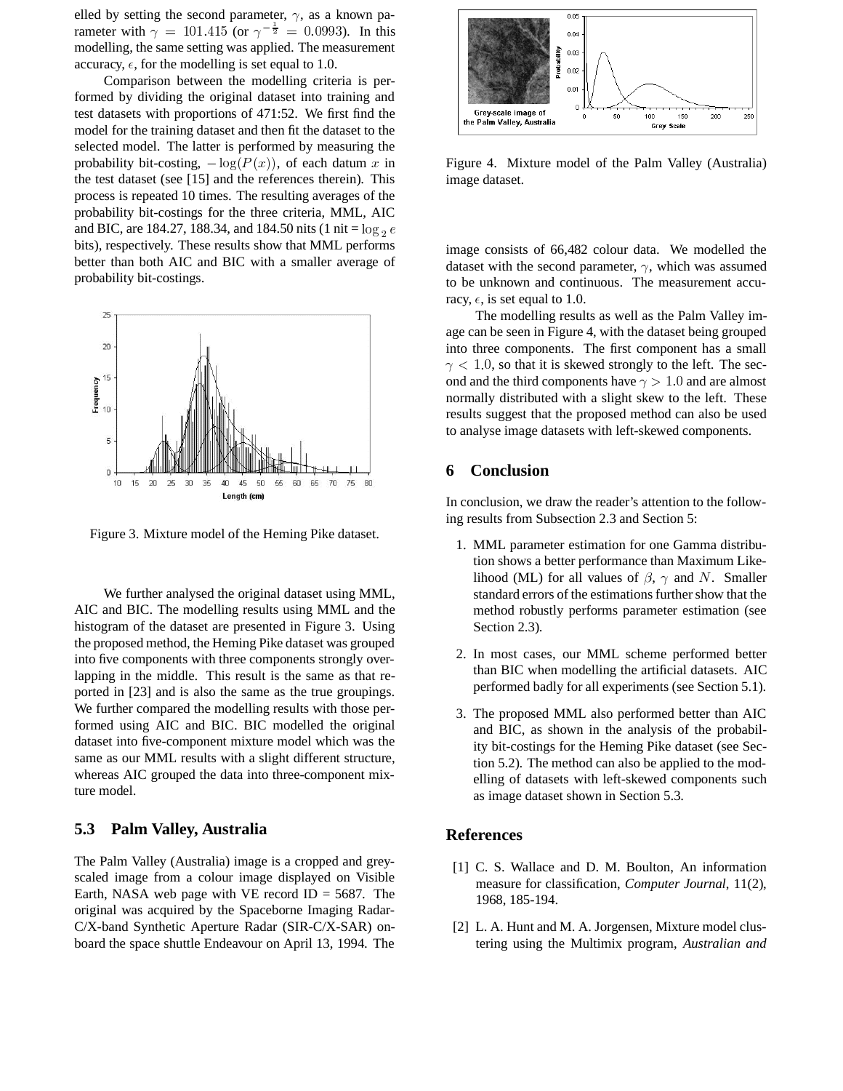elled by setting the second parameter,  $\gamma$ , as a known parameter with  $\gamma = 101.415$  (or  $\gamma^{-\frac{1}{2}} = 0.0993$ ). In this modelling, the same setting was applied. The measurement accuracy,  $\epsilon$ , for the modelling is set equal to 1.0.

Comparison between the modelling criteria is performed by dividing the original dataset into training and test datasets with proportions of 471:52. We first find the model for the training dataset and then fit the dataset to the selected model. The latter is performed by measuring the probability bit-costing,  $-\log(P(x))$ , of each datum x in the test dataset (see [15] and the references therein). This process is repeated 10 times. The resulting averages of the probability bit-costings for the three criteria, MML, AIC and BIC, are 184.27, 188.34, and 184.50 nits (1 nit =  $log_2 e$ bits), respectively. These results show that MML performs better than both AIC and BIC with a smaller average of probability bit-costings.



Figure 3. Mixture model of the Heming Pike dataset.

We further analysed the original dataset using MML, AIC and BIC. The modelling results using MML and the histogram of the dataset are presented in Figure 3. Using the proposed method, the Heming Pike dataset was grouped into five components with three components strongly overlapping in the middle. This result is the same as that reported in [23] and is also the same as the true groupings. We further compared the modelling results with those performed using AIC and BIC. BIC modelled the original dataset into five-component mixture model which was the same as our MML results with a slight different structure, whereas AIC grouped the data into three-component mixture model.

#### **5.3 Palm Valley, Australia**

The Palm Valley (Australia) image is a cropped and greyscaled image from a colour image displayed on Visible Earth, NASA web page with VE record  $ID = 5687$ . The original was acquired by the Spaceborne Imaging Radar-C/X-band Synthetic Aperture Radar (SIR-C/X-SAR) onboard the space shuttle Endeavour on April 13, 1994. The



Figure 4. Mixture model of the Palm Valley (Australia) image dataset.

image consists of 66,482 colour data. We modelled the dataset with the second parameter,  $\gamma$ , which was assumed to be unknown and continuous. The measurement accuracy,  $\epsilon$ , is set equal to 1.0.

The modelling results as well as the Palm Valley image can be seen in Figure 4, with the dataset being grouped into three components. The first component has a small  $\gamma$  < 1.0, so that it is skewed strongly to the left. The second and the third components have  $\gamma > 1.0$  and are almost normally distributed with a slight skew to the left. These results suggest that the proposed method can also be used to analyse image datasets with left-skewed components.

#### **6 Conclusion**

In conclusion, we draw the reader's attention to the following results from Subsection 2.3 and Section 5:

- 1. MML parameter estimation for one Gamma distribution shows a better performance than Maximum Likelihood (ML) for all values of  $\beta$ ,  $\gamma$  and N. Smaller standard errors of the estimations further show that the method robustly performs parameter estimation (see Section 2.3).
- 2. In most cases, our MML scheme performed better than BIC when modelling the artificial datasets. AIC performed badly for all experiments (see Section 5.1).
- 3. The proposed MML also performed better than AIC and BIC, as shown in the analysis of the probability bit-costings for the Heming Pike dataset (see Section 5.2). The method can also be applied to the modelling of datasets with left-skewed components such as image dataset shown in Section 5.3.

#### **References**

- [1] C. S. Wallace and D. M. Boulton, An information measure for classification, *Computer Journal*, 11(2), 1968, 185-194.
- [2] L. A. Hunt and M. A. Jorgensen, Mixture model clustering using the Multimix program, *Australian and*